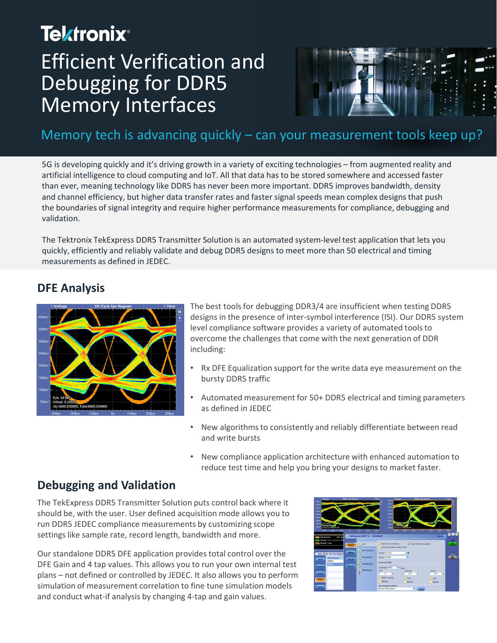# **Tektronix**® Efficient Verification and Debugging for DDR5 Memory Interfaces



#### Memory tech is advancing quickly – can your measurement tools keep up?

5G is developing quickly and it's driving growth in a variety of exciting technologies – from augmented reality and artificial intelligence to cloud computing and IoT. All that data has to be stored somewhere and accessed faster than ever, meaning technology like DDR5 has never been more important. DDR5 improves bandwidth, density and channel efficiency, but higher data transfer rates and faster signal speeds mean complex designs that push the boundaries of signal integrity and require higher performance measurements for compliance, debugging and validation.

The Tektronix TekExpress DDR5 Transmitter Solution is an automated system-level test application that lets you quickly, efficiently and reliably validate and debug DDR5 designs to meet more than 50 electrical and timing measurements as defined in JEDEC.

#### **DFE Analysis**



The best tools for debugging DDR3/4 are insufficient when testing DDR5 designs in the presence of inter-symbol interference (ISI). Our DDR5 system level compliance software provides a variety of automated tools to overcome the challenges that come with the next generation of DDR including:

- Rx DFE Equalization support for the write data eye measurement on the bursty DDR5 traffic
- Automated measurement for 50+ DDR5 electrical and timing parameters as defined in JEDEC
- New algorithms to consistently and reliably differentiate between read and write bursts
- New compliance application architecture with enhanced automation to reduce test time and help you bring your designs to market faster.

#### **Debugging and Validation**

The TekExpress DDR5 Transmitter Solution puts control back where it should be, with the user. User defined acquisition mode allows you to run DDR5 JEDEC compliance measurements by customizing scope settings like sample rate, record length, bandwidth and more.

Our standalone DDR5 DFE application provides total control over the DFE Gain and 4 tap values. This allows you to run your own internal test plans – not defined or controlled by JEDEC. It also allows you to perform simulation of measurement correlation to fine tune simulation models and conduct what-if analysis by changing 4-tap and gain values.